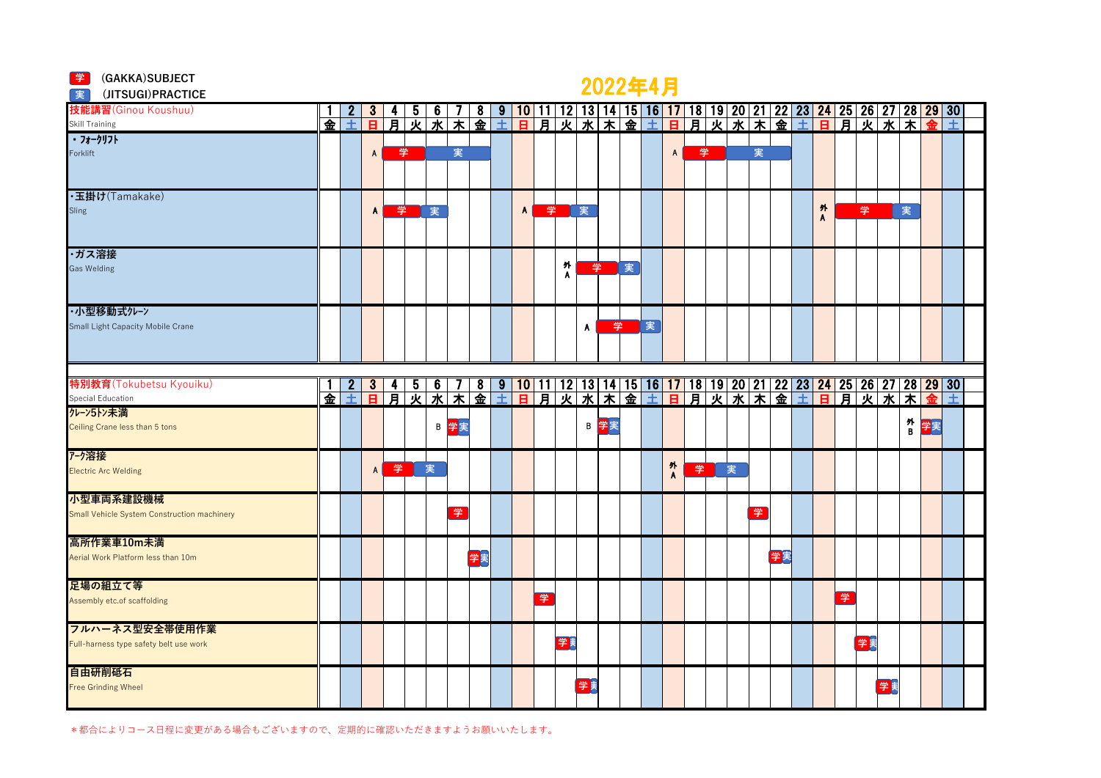#### **学** (GAKKA)SUBJECT

## 2022年4月 **<sup>学</sup>**

| (JITSUGI) PRACTICE<br>実                     |   |   |                |        |                         |                        |                   |    |   |                |   |        |    |    |    | <u>AVAA TIJJ</u> |                |   |    |   |    |   |                |   |    |    |   |                                                                                                                                                        |   |  |
|---------------------------------------------|---|---|----------------|--------|-------------------------|------------------------|-------------------|----|---|----------------|---|--------|----|----|----|------------------|----------------|---|----|---|----|---|----------------|---|----|----|---|--------------------------------------------------------------------------------------------------------------------------------------------------------|---|--|
| 技能講習(Ginou Koushuu)                         |   |   |                |        | $\mathbf b$             | $6^{\circ}$            |                   | 8  |   |                |   |        |    |    |    |                  |                |   |    |   |    |   |                |   |    |    |   | <u>9   10   11   12   13   14   15   16   17   18   19   20   21   22   23   24   25   26   27   28   29   30 </u>                                     |   |  |
| Skill Training                              | 金 | 土 | $\overline{a}$ | 肎      | 灭                       | 水                      | $\overline{\ast}$ | 金  | 土 | $\overline{B}$ |   | 月火     | 水  |    | 木金 | 士                | $\overline{a}$ | 月 | 火水 |   | 木金 | 士 | $\overline{B}$ | 月 |    | 火水 | 末 |                                                                                                                                                        | 土 |  |
| ・フォークリフト                                    |   |   |                |        |                         |                        |                   |    |   |                |   |        |    |    |    |                  |                |   |    |   |    |   |                |   |    |    |   |                                                                                                                                                        |   |  |
| Forklift                                    |   |   | $\mathsf{A}$   |        | 学                       |                        | 実                 |    |   |                |   |        |    |    |    |                  | A              | 学 |    | 実 |    |   |                |   |    |    |   |                                                                                                                                                        |   |  |
|                                             |   |   |                |        |                         |                        |                   |    |   |                |   |        |    |    |    |                  |                |   |    |   |    |   |                |   |    |    |   |                                                                                                                                                        |   |  |
|                                             |   |   |                |        |                         |                        |                   |    |   |                |   |        |    |    |    |                  |                |   |    |   |    |   |                |   |    |    |   |                                                                                                                                                        |   |  |
| ·玉掛け(Tamakake)<br>Sling                     |   |   | $\mathbf{A}$   |        | 学                       | 実                      |                   |    |   | $\mathbf{A}$   | 学 |        | 実  |    |    |                  |                |   |    |   |    |   | 外              |   | 学  |    | 実 |                                                                                                                                                        |   |  |
|                                             |   |   |                |        |                         |                        |                   |    |   |                |   |        |    |    |    |                  |                |   |    |   |    |   | A              |   |    |    |   |                                                                                                                                                        |   |  |
|                                             |   |   |                |        |                         |                        |                   |    |   |                |   |        |    |    |    |                  |                |   |    |   |    |   |                |   |    |    |   |                                                                                                                                                        |   |  |
| ・ガス溶接                                       |   |   |                |        |                         |                        |                   |    |   |                |   |        |    |    |    |                  |                |   |    |   |    |   |                |   |    |    |   |                                                                                                                                                        |   |  |
| <b>Gas Welding</b>                          |   |   |                |        |                         |                        |                   |    |   |                |   | 外<br>A | 学  |    | 実  |                  |                |   |    |   |    |   |                |   |    |    |   |                                                                                                                                                        |   |  |
|                                             |   |   |                |        |                         |                        |                   |    |   |                |   |        |    |    |    |                  |                |   |    |   |    |   |                |   |    |    |   |                                                                                                                                                        |   |  |
|                                             |   |   |                |        |                         |                        |                   |    |   |                |   |        |    |    |    |                  |                |   |    |   |    |   |                |   |    |    |   |                                                                                                                                                        |   |  |
| ・小型移動式クレーン                                  |   |   |                |        |                         |                        |                   |    |   |                |   |        |    |    |    |                  |                |   |    |   |    |   |                |   |    |    |   |                                                                                                                                                        |   |  |
| Small Light Capacity Mobile Crane           |   |   |                |        |                         |                        |                   |    |   |                |   |        | A  | 学  |    | 実                |                |   |    |   |    |   |                |   |    |    |   |                                                                                                                                                        |   |  |
|                                             |   |   |                |        |                         |                        |                   |    |   |                |   |        |    |    |    |                  |                |   |    |   |    |   |                |   |    |    |   |                                                                                                                                                        |   |  |
|                                             |   |   |                |        |                         |                        |                   |    |   |                |   |        |    |    |    |                  |                |   |    |   |    |   |                |   |    |    |   |                                                                                                                                                        |   |  |
| 特別教育(Tokubetsu Kyouiku)                     |   |   | 3 <sup>1</sup> |        |                         |                        |                   |    |   |                |   |        |    |    |    |                  |                |   |    |   |    |   |                |   |    |    |   |                                                                                                                                                        |   |  |
| Special Education                           | 金 | Ŧ | $\overline{B}$ | 4<br>亰 | $\frac{5}{\mathcal{K}}$ | $\frac{6}{\cancel{1}}$ |                   |    |   |                |   |        |    |    |    |                  |                |   |    |   |    |   |                |   |    |    |   | 7   8   9   10   11   12   13   14   15   16   17   18   19   20   21   22   23   <mark>24  </mark> 25   26   27   28   29   30  <br>木金土日月火水木金土日月火水市金土 |   |  |
| クレーン5トン未満                                   |   |   |                |        |                         |                        |                   |    |   |                |   |        |    |    |    |                  |                |   |    |   |    |   |                |   |    |    |   |                                                                                                                                                        |   |  |
| Ceiling Crane less than 5 tons              |   |   |                |        |                         |                        | <b>B 学</b> 実      |    |   |                |   |        | B  | 学実 |    |                  |                |   |    |   |    |   |                |   |    |    |   | 外<br>B 学実                                                                                                                                              |   |  |
|                                             |   |   |                |        |                         |                        |                   |    |   |                |   |        |    |    |    |                  |                |   |    |   |    |   |                |   |    |    |   |                                                                                                                                                        |   |  |
| アーク溶接                                       |   |   |                |        |                         |                        |                   |    |   |                |   |        |    |    |    |                  |                |   |    |   |    |   |                |   |    |    |   |                                                                                                                                                        |   |  |
| <b>Electric Arc Welding</b>                 |   |   | $\mathsf{A}$   | 学      |                         | 実                      |                   |    |   |                |   |        |    |    |    |                  | 外人             | 学 | 実  |   |    |   |                |   |    |    |   |                                                                                                                                                        |   |  |
|                                             |   |   |                |        |                         |                        |                   |    |   |                |   |        |    |    |    |                  |                |   |    |   |    |   |                |   |    |    |   |                                                                                                                                                        |   |  |
| 小型車両系建設機械                                   |   |   |                |        |                         |                        |                   |    |   |                |   |        |    |    |    |                  |                |   |    |   |    |   |                |   |    |    |   |                                                                                                                                                        |   |  |
| Small Vehicle System Construction machinery |   |   |                |        |                         |                        | 学                 |    |   |                |   |        |    |    |    |                  |                |   |    | 学 |    |   |                |   |    |    |   |                                                                                                                                                        |   |  |
| 高所作業車10m未満                                  |   |   |                |        |                         |                        |                   |    |   |                |   |        |    |    |    |                  |                |   |    |   |    |   |                |   |    |    |   |                                                                                                                                                        |   |  |
| Aerial Work Platform less than 10m          |   |   |                |        |                         |                        |                   | 学実 |   |                |   |        |    |    |    |                  |                |   |    |   | 学実 |   |                |   |    |    |   |                                                                                                                                                        |   |  |
|                                             |   |   |                |        |                         |                        |                   |    |   |                |   |        |    |    |    |                  |                |   |    |   |    |   |                |   |    |    |   |                                                                                                                                                        |   |  |
| 足場の組立て等                                     |   |   |                |        |                         |                        |                   |    |   |                |   |        |    |    |    |                  |                |   |    |   |    |   |                |   |    |    |   |                                                                                                                                                        |   |  |
| Assembly etc.of scaffolding                 |   |   |                |        |                         |                        |                   |    |   |                | 掌 |        |    |    |    |                  |                |   |    |   |    |   |                | 学 |    |    |   |                                                                                                                                                        |   |  |
|                                             |   |   |                |        |                         |                        |                   |    |   |                |   |        |    |    |    |                  |                |   |    |   |    |   |                |   |    |    |   |                                                                                                                                                        |   |  |
| フルハーネス型安全帯使用作業                              |   |   |                |        |                         |                        |                   |    |   |                |   |        |    |    |    |                  |                |   |    |   |    |   |                |   |    |    |   |                                                                                                                                                        |   |  |
| Full-harness type safety belt use work      |   |   |                |        |                         |                        |                   |    |   |                |   | 学美     |    |    |    |                  |                |   |    |   |    |   |                |   | 学美 |    |   |                                                                                                                                                        |   |  |
|                                             |   |   |                |        |                         |                        |                   |    |   |                |   |        |    |    |    |                  |                |   |    |   |    |   |                |   |    |    |   |                                                                                                                                                        |   |  |
| 自由研削砥石                                      |   |   |                |        |                         |                        |                   |    |   |                |   |        | 学美 |    |    |                  |                |   |    |   |    |   |                |   |    |    |   |                                                                                                                                                        |   |  |
| <b>Free Grinding Wheel</b>                  |   |   |                |        |                         |                        |                   |    |   |                |   |        |    |    |    |                  |                |   |    |   |    |   |                |   |    | 学美 |   |                                                                                                                                                        |   |  |
|                                             |   |   |                |        |                         |                        |                   |    |   |                |   |        |    |    |    |                  |                |   |    |   |    |   |                |   |    |    |   |                                                                                                                                                        |   |  |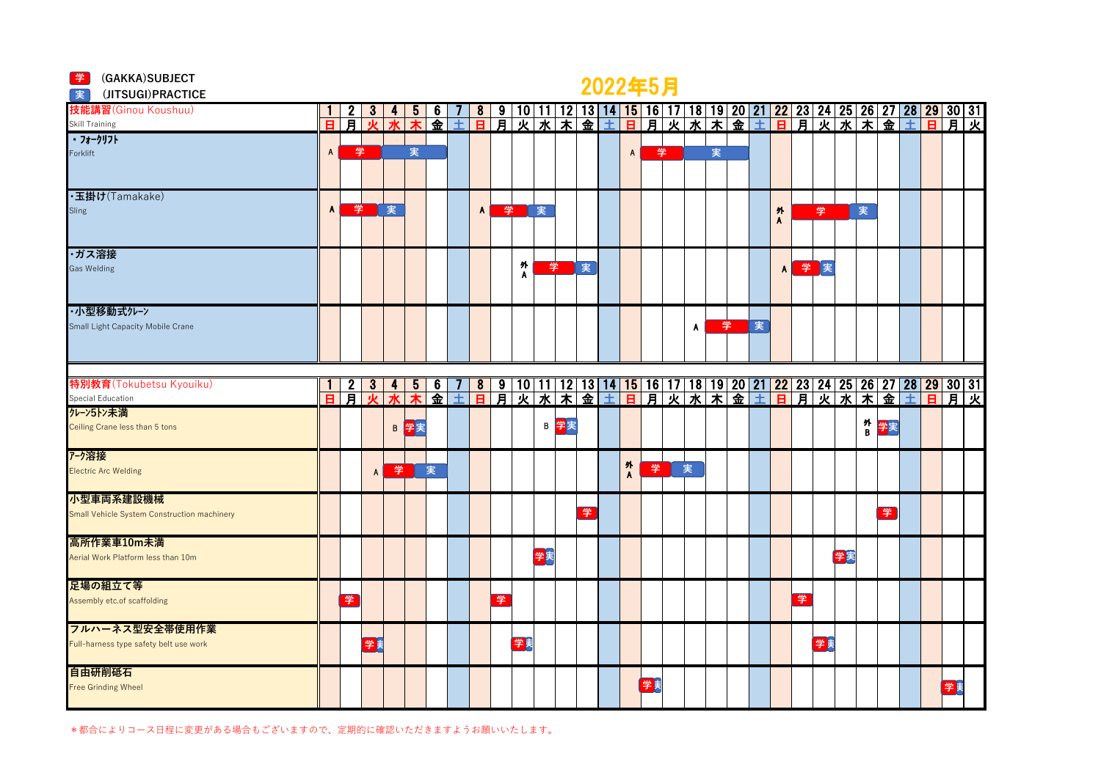| <mark>学</mark> (GAKKA)SUBJECT<br>実<br>(JITSUGI) PRACTICE |              |                 |              |         |                |           |   |                         |   |        |    |      |   | 2022年5月 |                |    |   |   |   |   |              |   |    |    |        |    |  |                                                                                                                                                                                      |  |
|----------------------------------------------------------|--------------|-----------------|--------------|---------|----------------|-----------|---|-------------------------|---|--------|----|------|---|---------|----------------|----|---|---|---|---|--------------|---|----|----|--------|----|--|--------------------------------------------------------------------------------------------------------------------------------------------------------------------------------------|--|
| 技能講習(Ginou Koushuu)                                      |              | 2               | 3            |         | $\overline{5}$ | $\bullet$ |   |                         |   |        |    |      |   |         |                |    |   |   |   |   |              |   |    |    |        |    |  |                                                                                                                                                                                      |  |
| <b>Skill Training</b>                                    | 日            | 肎               | ale          | $\star$ |                | 金         | 士 |                         |   |        |    |      |   |         |                |    |   |   |   |   |              |   |    |    |        |    |  | <mark>8   9   10   11   12   13   14   15   16   17   18   19   20   21   22   23   24   25   26   27   28   29   30   31<br/>日月火水市金土日月火水市金土日月火水市金土日月火水市</mark>                      |  |
| ・フォークリフト                                                 |              |                 |              |         |                |           |   |                         |   |        |    |      |   |         |                |    |   |   |   |   |              |   |    |    |        |    |  |                                                                                                                                                                                      |  |
| Forklift                                                 | $\mathsf{A}$ | 学               |              |         | 実              |           |   |                         |   |        |    |      |   |         | $\mathsf{A}$   | 学  |   | 実 |   |   |              |   |    |    |        |    |  |                                                                                                                                                                                      |  |
| ·玉掛け(Tamakake)<br>Sling                                  | A            | 学               |              | 実       |                |           |   | $\mathbf{A}$            | 学 |        | 実  |      |   |         |                |    |   |   |   |   | 外<br>Α       |   | 学  |    | 実      |    |  |                                                                                                                                                                                      |  |
| ・ガス溶接<br><b>Gas Welding</b>                              |              |                 |              |         |                |           |   |                         |   | 外<br>A | 学  |      | 実 |         |                |    |   |   |   |   | $\mathbf{A}$ | 学 | 実  |    |        |    |  |                                                                                                                                                                                      |  |
| ・小型移動式クレーン                                               |              |                 |              |         |                |           |   |                         |   |        |    |      |   |         |                |    |   |   |   |   |              |   |    |    |        |    |  |                                                                                                                                                                                      |  |
| Small Light Capacity Mobile Crane                        |              |                 |              |         |                |           |   |                         |   |        |    |      |   |         |                |    | A |   | 学 | 実 |              |   |    |    |        |    |  |                                                                                                                                                                                      |  |
| 特別教育(Tokubetsu Kyouiku)                                  |              |                 | 3            | 4       | 5              | 6         | 7 | $\overline{\mathbf{8}}$ |   |        |    |      |   |         |                |    |   |   |   |   |              |   |    |    |        |    |  |                                                                                                                                                                                      |  |
| Special Education                                        | 日            | $\frac{2}{\pi}$ | $\mathbf{v}$ | $\star$ |                | 金         | 士 | $\blacksquare$          |   |        |    |      |   |         |                |    |   |   |   |   |              |   |    |    |        |    |  | 9   10   11   12   13   14   15   16   17   18   19   20   21   22   23   24   25   26   27   28   29   30   31<br>月 火 水 木 金 土 日 月 火 水 木 金 土 日 月 火 水 ( ) 日 月 火 水 木 金 土 日 月 火 水 ( ) つ |  |
| クレーン5トン未満<br>Ceiling Crane less than 5 tons              |              |                 |              |         | B 学実           |           |   |                         |   |        |    | B 学実 |   |         |                |    |   |   |   |   |              |   |    |    | 外<br>B | 学実 |  |                                                                                                                                                                                      |  |
| アーク溶接<br><b>Electric Arc Welding</b>                     |              |                 | A            | 学       |                | 実         |   |                         |   |        |    |      |   |         | 外<br>$\lambda$ | 学  | 実 |   |   |   |              |   |    |    |        |    |  |                                                                                                                                                                                      |  |
| 小型車両系建設機械<br>Small Vehicle System Construction machinery |              |                 |              |         |                |           |   |                         |   |        |    |      | 学 |         |                |    |   |   |   |   |              |   |    |    |        | 学  |  |                                                                                                                                                                                      |  |
| 高所作業車10m未満<br>Aerial Work Platform less than 10m         |              |                 |              |         |                |           |   |                         |   |        | 学実 |      |   |         |                |    |   |   |   |   |              |   |    | 学実 |        |    |  |                                                                                                                                                                                      |  |
| 足場の組立て等<br>Assembly etc.of scaffolding                   |              | 学               |              |         |                |           |   |                         | 学 |        |    |      |   |         |                |    |   |   |   |   |              | 学 |    |    |        |    |  |                                                                                                                                                                                      |  |
| フルハーネス型安全帯使用作業<br>Full-harness type safety belt use work |              |                 | 学美           |         |                |           |   |                         |   | 学美     |    |      |   |         |                |    |   |   |   |   |              |   | 学美 |    |        |    |  |                                                                                                                                                                                      |  |
| 自由研削砥石<br><b>Free Grinding Wheel</b>                     |              |                 |              |         |                |           |   |                         |   |        |    |      |   |         |                | 学美 |   |   |   |   |              |   |    |    |        |    |  | 学美                                                                                                                                                                                   |  |

\*都合によりコース日程に変更がある場合もございますので、定期的に確認いただきますようお願いいたします。

**学** (GAKKA)SUBJECT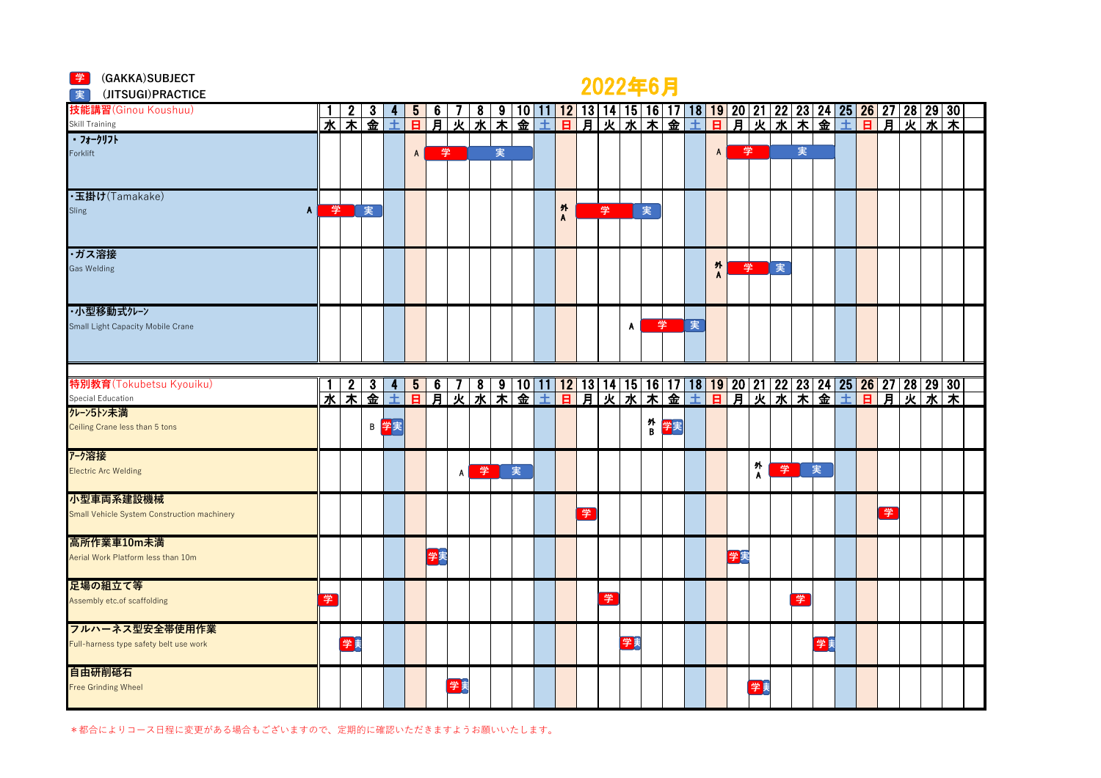|  | (GAKKA) SUBJECT |
|--|-----------------|
|--|-----------------|

### 2022年6月 **<sup>学</sup>**

| (JITSUGI) PRACTICE<br> 実                    |   |                   |    |                    |                |    |    |           |   |    |   |        |   | $\sim$ $\sim$ $\sim$ $\sim$ $\sim$ $\sim$ $\sim$ |    |        |    |   |                |    |                   |   |                   |        |   |                |   |                                                                                                                                              |     |  |
|---------------------------------------------|---|-------------------|----|--------------------|----------------|----|----|-----------|---|----|---|--------|---|--------------------------------------------------|----|--------|----|---|----------------|----|-------------------|---|-------------------|--------|---|----------------|---|----------------------------------------------------------------------------------------------------------------------------------------------|-----|--|
| 技能講習(Ginou Koushuu)                         |   |                   |    |                    |                | 6  |    | 8         | 9 | 10 |   |        |   |                                                  |    |        |    |   |                |    |                   |   |                   |        |   |                |   | <u>12   13   14   15   16   17   18   19   20   21   22   23   24   25   26   27   28   29   30 </u>                                         |     |  |
|                                             | 水 | $\overline{\ast}$ | 金  | 土                  | 日              | 月  | 火  | 水         | 末 | 金  | 土 | в      | 月 | 火水木金                                             |    |        |    | 土 | $\overline{a}$ | 耳  | 火                 | 水 | $\overline{\ast}$ | 电<br>中 | 士 | $\overline{H}$ | ョ |                                                                                                                                              | 火水木 |  |
| Skill Training<br>171-717                   |   |                   |    |                    |                |    |    |           |   |    |   |        |   |                                                  |    |        |    |   |                |    |                   |   |                   |        |   |                |   |                                                                                                                                              |     |  |
| Forklift                                    |   |                   |    |                    | $\mathsf{A}$   | 学  |    |           | 実 |    |   |        |   |                                                  |    |        |    |   | $\mathsf{A}$   | 学  |                   |   | 実                 |        |   |                |   |                                                                                                                                              |     |  |
|                                             |   |                   |    |                    |                |    |    |           |   |    |   |        |   |                                                  |    |        |    |   |                |    |                   |   |                   |        |   |                |   |                                                                                                                                              |     |  |
|                                             |   |                   |    |                    |                |    |    |           |   |    |   |        |   |                                                  |    |        |    |   |                |    |                   |   |                   |        |   |                |   |                                                                                                                                              |     |  |
| ·玉掛け(Tamakake)                              |   |                   |    |                    |                |    |    |           |   |    |   |        |   |                                                  |    |        |    |   |                |    |                   |   |                   |        |   |                |   |                                                                                                                                              |     |  |
| Sling<br>$\mathbf{A}$                       |   | 学家                |    |                    |                |    |    |           |   |    |   | 外<br>Α |   | 学                                                |    | 実      |    |   |                |    |                   |   |                   |        |   |                |   |                                                                                                                                              |     |  |
|                                             |   |                   |    |                    |                |    |    |           |   |    |   |        |   |                                                  |    |        |    |   |                |    |                   |   |                   |        |   |                |   |                                                                                                                                              |     |  |
|                                             |   |                   |    |                    |                |    |    |           |   |    |   |        |   |                                                  |    |        |    |   |                |    |                   |   |                   |        |   |                |   |                                                                                                                                              |     |  |
| ・ガス溶接                                       |   |                   |    |                    |                |    |    |           |   |    |   |        |   |                                                  |    |        |    |   |                |    |                   |   |                   |        |   |                |   |                                                                                                                                              |     |  |
| <b>Gas Welding</b>                          |   |                   |    |                    |                |    |    |           |   |    |   |        |   |                                                  |    |        |    |   | 外              | 学  |                   | 実 |                   |        |   |                |   |                                                                                                                                              |     |  |
|                                             |   |                   |    |                    |                |    |    |           |   |    |   |        |   |                                                  |    |        |    |   | A              |    |                   |   |                   |        |   |                |   |                                                                                                                                              |     |  |
|                                             |   |                   |    |                    |                |    |    |           |   |    |   |        |   |                                                  |    |        |    |   |                |    |                   |   |                   |        |   |                |   |                                                                                                                                              |     |  |
| ・小型移動式クレーン                                  |   |                   |    |                    |                |    |    |           |   |    |   |        |   |                                                  |    |        |    |   |                |    |                   |   |                   |        |   |                |   |                                                                                                                                              |     |  |
| Small Light Capacity Mobile Crane           |   |                   |    |                    |                |    |    |           |   |    |   |        |   |                                                  | Α  | 学      |    | 実 |                |    |                   |   |                   |        |   |                |   |                                                                                                                                              |     |  |
|                                             |   |                   |    |                    |                |    |    |           |   |    |   |        |   |                                                  |    |        |    |   |                |    |                   |   |                   |        |   |                |   |                                                                                                                                              |     |  |
|                                             |   |                   |    |                    |                |    |    |           |   |    |   |        |   |                                                  |    |        |    |   |                |    |                   |   |                   |        |   |                |   |                                                                                                                                              |     |  |
|                                             |   |                   |    |                    |                |    |    |           |   |    |   |        |   |                                                  |    |        |    |   |                |    |                   |   |                   |        |   |                |   |                                                                                                                                              |     |  |
| 特別教育(Tokubetsu Kyouiku)                     |   | $\boldsymbol{2}$  | 3  |                    | 5              | 6  |    | $\bullet$ |   |    |   |        |   |                                                  |    |        |    |   |                |    |                   |   |                   |        |   |                |   |                                                                                                                                              |     |  |
| Special Education                           | 水 |                   | 木金 | 土                  | $\blacksquare$ | 肎  | 灭  | 水         |   |    |   |        |   |                                                  |    |        |    |   |                |    |                   |   |                   |        |   |                |   | 9   10   11   12   13   14   15   16   17   18   19   20   21   22   23   24   25 <mark>  26   27   28   29   30</mark><br>木金土日月火水木金土日月火水木金土 |     |  |
| クレーン5トン未満                                   |   |                   |    |                    |                |    |    |           |   |    |   |        |   |                                                  |    |        |    |   |                |    |                   |   |                   |        |   |                |   |                                                                                                                                              |     |  |
| Ceiling Crane less than 5 tons              |   |                   |    | B <mark>学</mark> 実 |                |    |    |           |   |    |   |        |   |                                                  |    | 外<br>B | 学実 |   |                |    |                   |   |                   |        |   |                |   |                                                                                                                                              |     |  |
|                                             |   |                   |    |                    |                |    |    |           |   |    |   |        |   |                                                  |    |        |    |   |                |    |                   |   |                   |        |   |                |   |                                                                                                                                              |     |  |
| アーク溶接                                       |   |                   |    |                    |                |    |    |           |   |    |   |        |   |                                                  |    |        |    |   |                |    |                   |   |                   |        |   |                |   |                                                                                                                                              |     |  |
| <b>Electric Arc Welding</b>                 |   |                   |    |                    |                |    | A  | 学         |   | 実  |   |        |   |                                                  |    |        |    |   |                |    | 外<br>$\mathbf{A}$ | 学 |                   | 実      |   |                |   |                                                                                                                                              |     |  |
|                                             |   |                   |    |                    |                |    |    |           |   |    |   |        |   |                                                  |    |        |    |   |                |    |                   |   |                   |        |   |                |   |                                                                                                                                              |     |  |
| 小型車両系建設機械                                   |   |                   |    |                    |                |    |    |           |   |    |   |        |   |                                                  |    |        |    |   |                |    |                   |   |                   |        |   |                |   |                                                                                                                                              |     |  |
| Small Vehicle System Construction machinery |   |                   |    |                    |                |    |    |           |   |    |   |        | 学 |                                                  |    |        |    |   |                |    |                   |   |                   |        |   |                | 学 |                                                                                                                                              |     |  |
|                                             |   |                   |    |                    |                |    |    |           |   |    |   |        |   |                                                  |    |        |    |   |                |    |                   |   |                   |        |   |                |   |                                                                                                                                              |     |  |
| 高所作業車10m未満                                  |   |                   |    |                    |                |    |    |           |   |    |   |        |   |                                                  |    |        |    |   |                |    |                   |   |                   |        |   |                |   |                                                                                                                                              |     |  |
| Aerial Work Platform less than 10m          |   |                   |    |                    |                | 学実 |    |           |   |    |   |        |   |                                                  |    |        |    |   |                | 学実 |                   |   |                   |        |   |                |   |                                                                                                                                              |     |  |
|                                             |   |                   |    |                    |                |    |    |           |   |    |   |        |   |                                                  |    |        |    |   |                |    |                   |   |                   |        |   |                |   |                                                                                                                                              |     |  |
| 足場の組立て等                                     |   |                   |    |                    |                |    |    |           |   |    |   |        |   |                                                  |    |        |    |   |                |    |                   |   |                   |        |   |                |   |                                                                                                                                              |     |  |
| Assembly etc.of scaffolding                 | 学 |                   |    |                    |                |    |    |           |   |    |   |        |   | 学                                                |    |        |    |   |                |    |                   |   | 学                 |        |   |                |   |                                                                                                                                              |     |  |
|                                             |   |                   |    |                    |                |    |    |           |   |    |   |        |   |                                                  |    |        |    |   |                |    |                   |   |                   |        |   |                |   |                                                                                                                                              |     |  |
| フルハーネス型安全帯使用作業                              |   |                   |    |                    |                |    |    |           |   |    |   |        |   |                                                  |    |        |    |   |                |    |                   |   |                   |        |   |                |   |                                                                                                                                              |     |  |
| Full-harness type safety belt use work      |   | 学美                |    |                    |                |    |    |           |   |    |   |        |   |                                                  | 学美 |        |    |   |                |    |                   |   |                   | 学美     |   |                |   |                                                                                                                                              |     |  |
|                                             |   |                   |    |                    |                |    |    |           |   |    |   |        |   |                                                  |    |        |    |   |                |    |                   |   |                   |        |   |                |   |                                                                                                                                              |     |  |
| 自由研削砥石                                      |   |                   |    |                    |                |    |    |           |   |    |   |        |   |                                                  |    |        |    |   |                |    |                   |   |                   |        |   |                |   |                                                                                                                                              |     |  |
| <b>Free Grinding Wheel</b>                  |   |                   |    |                    |                |    | 学美 |           |   |    |   |        |   |                                                  |    |        |    |   |                |    | 学実                |   |                   |        |   |                |   |                                                                                                                                              |     |  |
|                                             |   |                   |    |                    |                |    |    |           |   |    |   |        |   |                                                  |    |        |    |   |                |    |                   |   |                   |        |   |                |   |                                                                                                                                              |     |  |
|                                             |   |                   |    |                    |                |    |    |           |   |    |   |        |   |                                                  |    |        |    |   |                |    |                   |   |                   |        |   |                |   |                                                                                                                                              |     |  |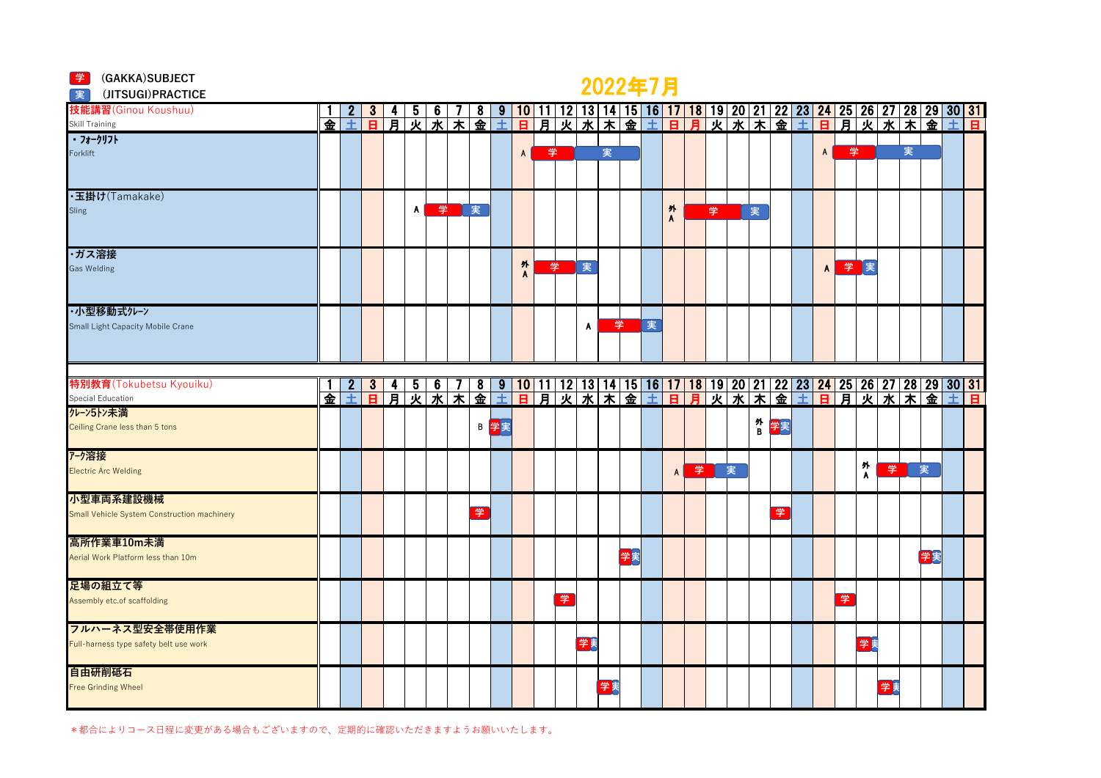|  | (GAKKA) SUBJECT |
|--|-----------------|
|--|-----------------|

## <del>学</del> (GAKKA)SUBJECT<br>■ (IITSUGI)PRACTICE

| (JITSUGI) PRACTICE<br>実                     |   |   |                |   |              |                |                   |   |              |                |     |   |    | $\sim$ $\sim$ $\sim$ $\sim$ $\sim$ $\sim$ $\sim$ |    |   |              |   |   |   |        |    |                |    |        |    |   |    |                                                                                                                                                                                                |  |
|---------------------------------------------|---|---|----------------|---|--------------|----------------|-------------------|---|--------------|----------------|-----|---|----|--------------------------------------------------|----|---|--------------|---|---|---|--------|----|----------------|----|--------|----|---|----|------------------------------------------------------------------------------------------------------------------------------------------------------------------------------------------------|--|
| 技能講習(Ginou Koushuu)                         |   |   |                |   | 5            | 6              |                   | 8 | မ            | 10             | 111 |   |    |                                                  |    |   |              |   |   |   |        |    |                |    |        |    |   |    | 12   13   14   15   16   17   18   19   20   21   22   23   24   25   26   27   28   29   30   31  <br>  火   水   木   金   土   日   月   火   水   木   金   土   日   月   火   水   木   金   土   日         |  |
| Skill Training                              | 金 | 士 | $\overline{a}$ | 肎 | 灭            | 水              | $\overline{\ast}$ | 金 | 土            | $\overline{B}$ | 月   |   |    |                                                  |    |   |              |   |   |   |        |    |                |    |        |    |   |    |                                                                                                                                                                                                |  |
| ・フォークリフト                                    |   |   |                |   |              |                |                   |   |              |                |     |   |    |                                                  |    |   |              |   |   |   |        |    |                |    |        |    |   |    |                                                                                                                                                                                                |  |
| Forklift                                    |   |   |                |   |              |                |                   |   |              | $\mathsf{A}$   | 学   |   |    | 実                                                |    |   |              |   |   |   |        |    | $\overline{A}$ | 学  |        |    | 実 |    |                                                                                                                                                                                                |  |
|                                             |   |   |                |   |              |                |                   |   |              |                |     |   |    |                                                  |    |   |              |   |   |   |        |    |                |    |        |    |   |    |                                                                                                                                                                                                |  |
| ·玉掛け(Tamakake)                              |   |   |                |   |              |                |                   |   |              |                |     |   |    |                                                  |    |   |              |   |   |   |        |    |                |    |        |    |   |    |                                                                                                                                                                                                |  |
| Sling                                       |   |   |                |   | $\mathsf{A}$ | 学              |                   | 実 |              |                |     |   |    |                                                  |    |   | 外            |   | 学 |   | 実      |    |                |    |        |    |   |    |                                                                                                                                                                                                |  |
|                                             |   |   |                |   |              |                |                   |   |              |                |     |   |    |                                                  |    |   | $\mathbf{A}$ |   |   |   |        |    |                |    |        |    |   |    |                                                                                                                                                                                                |  |
|                                             |   |   |                |   |              |                |                   |   |              |                |     |   |    |                                                  |    |   |              |   |   |   |        |    |                |    |        |    |   |    |                                                                                                                                                                                                |  |
| ・ガス溶接                                       |   |   |                |   |              |                |                   |   |              |                |     |   |    |                                                  |    |   |              |   |   |   |        |    |                |    |        |    |   |    |                                                                                                                                                                                                |  |
| Gas Welding                                 |   |   |                |   |              |                |                   |   |              | 外<br>A         |     | 学 | 実  |                                                  |    |   |              |   |   |   |        |    | $\mathsf{A}$   | 学医 |        |    |   |    |                                                                                                                                                                                                |  |
|                                             |   |   |                |   |              |                |                   |   |              |                |     |   |    |                                                  |    |   |              |   |   |   |        |    |                |    |        |    |   |    |                                                                                                                                                                                                |  |
|                                             |   |   |                |   |              |                |                   |   |              |                |     |   |    |                                                  |    |   |              |   |   |   |        |    |                |    |        |    |   |    |                                                                                                                                                                                                |  |
| ・小型移動式クレーン                                  |   |   |                |   |              |                |                   |   |              |                |     |   |    |                                                  |    |   |              |   |   |   |        |    |                |    |        |    |   |    |                                                                                                                                                                                                |  |
| Small Light Capacity Mobile Crane           |   |   |                |   |              |                |                   |   |              |                |     |   | A  | 学                                                |    | 実 |              |   |   |   |        |    |                |    |        |    |   |    |                                                                                                                                                                                                |  |
|                                             |   |   |                |   |              |                |                   |   |              |                |     |   |    |                                                  |    |   |              |   |   |   |        |    |                |    |        |    |   |    |                                                                                                                                                                                                |  |
|                                             |   |   |                |   |              |                |                   |   |              |                |     |   |    |                                                  |    |   |              |   |   |   |        |    |                |    |        |    |   |    |                                                                                                                                                                                                |  |
| 特別教育(Tokubetsu Kyouiku)                     |   |   | 3 <sup>1</sup> |   |              |                |                   |   |              |                |     |   |    |                                                  |    |   |              |   |   |   |        |    |                |    |        |    |   |    |                                                                                                                                                                                                |  |
| Special Education                           | 金 | 士 | $\overline{B}$ | 耳 |              | _5 _6 _<br>火 水 |                   |   |              |                |     |   |    |                                                  |    |   |              |   |   |   |        |    |                |    |        |    |   |    | 7   8   9   10   11   12   13   14   15   16   17   18   19   20   21   22   23   24   25   26   27   28   29   30   31  <br>  木 金 土 日 月 火 水 木 金 土 日 月 火 水 木 金 土 日 月 火 水 木 金 土 日 月 火 水 木 金 土 日 |  |
| クレーン5トン未満                                   |   |   |                |   |              |                |                   |   |              |                |     |   |    |                                                  |    |   |              |   |   |   |        |    |                |    |        |    |   |    |                                                                                                                                                                                                |  |
| Ceiling Crane less than 5 tons              |   |   |                |   |              |                |                   |   | <b>B 学</b> 実 |                |     |   |    |                                                  |    |   |              |   |   |   | 外<br>B | 学実 |                |    |        |    |   |    |                                                                                                                                                                                                |  |
|                                             |   |   |                |   |              |                |                   |   |              |                |     |   |    |                                                  |    |   |              |   |   |   |        |    |                |    |        |    |   |    |                                                                                                                                                                                                |  |
| アーク溶接                                       |   |   |                |   |              |                |                   |   |              |                |     |   |    |                                                  |    |   |              |   |   |   |        |    |                |    |        |    |   |    |                                                                                                                                                                                                |  |
| <b>Electric Arc Welding</b>                 |   |   |                |   |              |                |                   |   |              |                |     |   |    |                                                  |    |   | A            | 学 |   | 実 |        |    |                |    | 外<br>A | 学  |   | 実  |                                                                                                                                                                                                |  |
| 小型車両系建設機械                                   |   |   |                |   |              |                |                   |   |              |                |     |   |    |                                                  |    |   |              |   |   |   |        |    |                |    |        |    |   |    |                                                                                                                                                                                                |  |
| Small Vehicle System Construction machinery |   |   |                |   |              |                |                   | 学 |              |                |     |   |    |                                                  |    |   |              |   |   |   |        | 学  |                |    |        |    |   |    |                                                                                                                                                                                                |  |
|                                             |   |   |                |   |              |                |                   |   |              |                |     |   |    |                                                  |    |   |              |   |   |   |        |    |                |    |        |    |   |    |                                                                                                                                                                                                |  |
| 高所作業車10m未満                                  |   |   |                |   |              |                |                   |   |              |                |     |   |    |                                                  |    |   |              |   |   |   |        |    |                |    |        |    |   |    |                                                                                                                                                                                                |  |
| Aerial Work Platform less than 10m          |   |   |                |   |              |                |                   |   |              |                |     |   |    |                                                  | 学実 |   |              |   |   |   |        |    |                |    |        |    |   | 学実 |                                                                                                                                                                                                |  |
|                                             |   |   |                |   |              |                |                   |   |              |                |     |   |    |                                                  |    |   |              |   |   |   |        |    |                |    |        |    |   |    |                                                                                                                                                                                                |  |
| 足場の組立て等                                     |   |   |                |   |              |                |                   |   |              |                |     |   |    |                                                  |    |   |              |   |   |   |        |    |                |    |        |    |   |    |                                                                                                                                                                                                |  |
| Assembly etc.of scaffolding                 |   |   |                |   |              |                |                   |   |              |                |     | 学 |    |                                                  |    |   |              |   |   |   |        |    |                | 学  |        |    |   |    |                                                                                                                                                                                                |  |
|                                             |   |   |                |   |              |                |                   |   |              |                |     |   |    |                                                  |    |   |              |   |   |   |        |    |                |    |        |    |   |    |                                                                                                                                                                                                |  |
| フルハーネス型安全帯使用作業                              |   |   |                |   |              |                |                   |   |              |                |     |   |    |                                                  |    |   |              |   |   |   |        |    |                |    |        |    |   |    |                                                                                                                                                                                                |  |
| Full-harness type safety belt use work      |   |   |                |   |              |                |                   |   |              |                |     |   | 学美 |                                                  |    |   |              |   |   |   |        |    |                |    | 学実     |    |   |    |                                                                                                                                                                                                |  |
| 自由研削砥石                                      |   |   |                |   |              |                |                   |   |              |                |     |   |    |                                                  |    |   |              |   |   |   |        |    |                |    |        |    |   |    |                                                                                                                                                                                                |  |
| <b>Free Grinding Wheel</b>                  |   |   |                |   |              |                |                   |   |              |                |     |   |    | 学美                                               |    |   |              |   |   |   |        |    |                |    |        | 学実 |   |    |                                                                                                                                                                                                |  |
|                                             |   |   |                |   |              |                |                   |   |              |                |     |   |    |                                                  |    |   |              |   |   |   |        |    |                |    |        |    |   |    |                                                                                                                                                                                                |  |
|                                             |   |   |                |   |              |                |                   |   |              |                |     |   |    |                                                  |    |   |              |   |   |   |        |    |                |    |        |    |   |    |                                                                                                                                                                                                |  |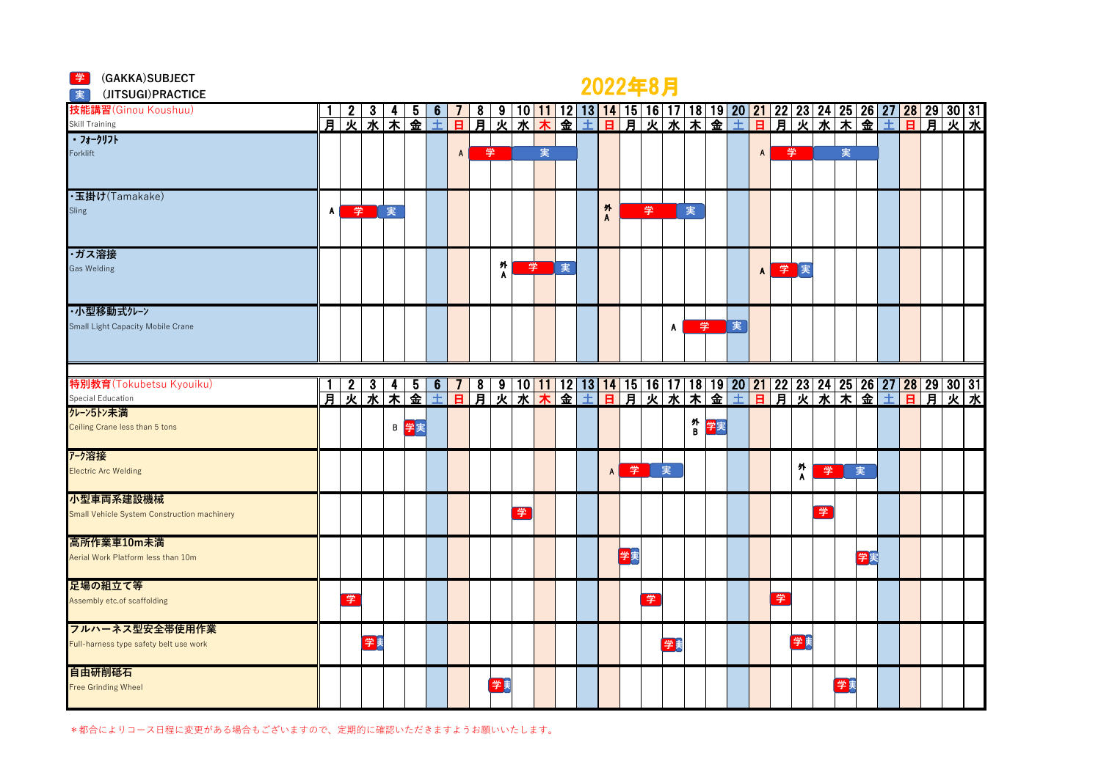#### **学** (GAKKA)SUBJECT

### 2022年8月 **<sup>学</sup>**

| (JITSUGI) PRACTICE<br>実                     |   |      |                  |                         |                    |         |   |        |    |         |   |   |   |    | $LVALU}$ |    |        |    |   |              |   |                           |   |    |    |                                                                                                                                                                                      |  |  |
|---------------------------------------------|---|------|------------------|-------------------------|--------------------|---------|---|--------|----|---------|---|---|---|----|----------|----|--------|----|---|--------------|---|---------------------------|---|----|----|--------------------------------------------------------------------------------------------------------------------------------------------------------------------------------------|--|--|
| 技能講習(Ginou Koushuu)                         |   |      |                  |                         | b                  | 6       |   | 8      | 9  | $10$ 11 |   |   |   |    |          |    |        |    |   |              |   |                           |   |    |    | 12   13   14   15   16   17   18   19   20   21   22   23   24   25   26   27   28   29   30   31<br>  金   土   日   月   火   水   木   金   土   日   月   火   水   木   金   土   日   月   火   水 |  |  |
| Skill Training<br>171-717                   | 月 | 灭    | 水                | $\overline{\textbf{x}}$ | 金                  | 土       | в | 月      | 灭  | 水       |   |   |   |    |          |    |        |    |   |              |   |                           |   |    |    |                                                                                                                                                                                      |  |  |
|                                             |   |      |                  |                         |                    |         |   |        |    |         |   |   |   |    |          |    |        |    |   |              |   |                           |   |    |    |                                                                                                                                                                                      |  |  |
| Forklift                                    |   |      |                  |                         |                    |         | A | 学      |    |         | 実 |   |   |    |          |    |        |    |   | $\mathsf{A}$ | 学 |                           |   | 実  |    |                                                                                                                                                                                      |  |  |
|                                             |   |      |                  |                         |                    |         |   |        |    |         |   |   |   |    |          |    |        |    |   |              |   |                           |   |    |    |                                                                                                                                                                                      |  |  |
|                                             |   |      |                  |                         |                    |         |   |        |    |         |   |   |   |    |          |    |        |    |   |              |   |                           |   |    |    |                                                                                                                                                                                      |  |  |
| ·玉掛け(Tamakake)<br>Sling                     | A | 学    |                  | 実                       |                    |         |   |        |    |         |   |   | 外 |    | 学        |    | 実      |    |   |              |   |                           |   |    |    |                                                                                                                                                                                      |  |  |
|                                             |   |      |                  |                         |                    |         |   |        |    |         |   |   | A |    |          |    |        |    |   |              |   |                           |   |    |    |                                                                                                                                                                                      |  |  |
|                                             |   |      |                  |                         |                    |         |   |        |    |         |   |   |   |    |          |    |        |    |   |              |   |                           |   |    |    |                                                                                                                                                                                      |  |  |
| ・ガス溶接                                       |   |      |                  |                         |                    |         |   |        |    |         |   |   |   |    |          |    |        |    |   |              |   |                           |   |    |    |                                                                                                                                                                                      |  |  |
| <b>Gas Welding</b>                          |   |      |                  |                         |                    |         |   |        | 外  | 学       |   | 実 |   |    |          |    |        |    |   | $\mathbf{A}$ |   | 学実                        |   |    |    |                                                                                                                                                                                      |  |  |
|                                             |   |      |                  |                         |                    |         |   |        | A  |         |   |   |   |    |          |    |        |    |   |              |   |                           |   |    |    |                                                                                                                                                                                      |  |  |
|                                             |   |      |                  |                         |                    |         |   |        |    |         |   |   |   |    |          |    |        |    |   |              |   |                           |   |    |    |                                                                                                                                                                                      |  |  |
| ・小型移動式クレーン                                  |   |      |                  |                         |                    |         |   |        |    |         |   |   |   |    |          |    |        |    |   |              |   |                           |   |    |    |                                                                                                                                                                                      |  |  |
| Small Light Capacity Mobile Crane           |   |      |                  |                         |                    |         |   |        |    |         |   |   |   |    |          | A  | 学      |    | 実 |              |   |                           |   |    |    |                                                                                                                                                                                      |  |  |
|                                             |   |      |                  |                         |                    |         |   |        |    |         |   |   |   |    |          |    |        |    |   |              |   |                           |   |    |    |                                                                                                                                                                                      |  |  |
|                                             |   |      |                  |                         |                    |         |   |        |    |         |   |   |   |    |          |    |        |    |   |              |   |                           |   |    |    |                                                                                                                                                                                      |  |  |
|                                             |   |      |                  |                         |                    |         |   |        |    |         |   |   |   |    |          |    |        |    |   |              |   |                           |   |    |    |                                                                                                                                                                                      |  |  |
| 特別教育(Tokubetsu Kyouiku)                     |   | 月火水木 | $\boldsymbol{3}$ | 4                       | 5<br>金             | 6<br>÷. |   | 8<br>耳 | 火  |         |   |   |   |    |          |    |        |    |   |              |   |                           |   |    |    | 9   10 <mark>  11</mark>   12   13 <mark>  14   15   16   17   18   19   20   21   22   23   24   25   26   27   28   29   30   31<br/>火水大金土日月火水大金土日月火水大金土</mark>                    |  |  |
| Special Education<br>クレーン5トン未満              |   |      |                  |                         |                    |         | B |        |    |         |   |   |   |    |          |    |        |    |   |              |   |                           |   |    |    |                                                                                                                                                                                      |  |  |
| Ceiling Crane less than 5 tons              |   |      |                  |                         | B <mark>学</mark> 実 |         |   |        |    |         |   |   |   |    |          |    | 外<br>B | 学実 |   |              |   |                           |   |    |    |                                                                                                                                                                                      |  |  |
|                                             |   |      |                  |                         |                    |         |   |        |    |         |   |   |   |    |          |    |        |    |   |              |   |                           |   |    |    |                                                                                                                                                                                      |  |  |
| アーク溶接                                       |   |      |                  |                         |                    |         |   |        |    |         |   |   |   |    |          |    |        |    |   |              |   |                           |   |    |    |                                                                                                                                                                                      |  |  |
| <b>Electric Arc Welding</b>                 |   |      |                  |                         |                    |         |   |        |    |         |   |   | A | 学  |          | 実  |        |    |   |              |   | 外                         | 学 |    | 実  |                                                                                                                                                                                      |  |  |
|                                             |   |      |                  |                         |                    |         |   |        |    |         |   |   |   |    |          |    |        |    |   |              |   | $\boldsymbol{\mathsf{A}}$ |   |    |    |                                                                                                                                                                                      |  |  |
| 小型車両系建設機械                                   |   |      |                  |                         |                    |         |   |        |    |         |   |   |   |    |          |    |        |    |   |              |   |                           |   |    |    |                                                                                                                                                                                      |  |  |
| Small Vehicle System Construction machinery |   |      |                  |                         |                    |         |   |        |    | 学       |   |   |   |    |          |    |        |    |   |              |   |                           | 学 |    |    |                                                                                                                                                                                      |  |  |
|                                             |   |      |                  |                         |                    |         |   |        |    |         |   |   |   |    |          |    |        |    |   |              |   |                           |   |    |    |                                                                                                                                                                                      |  |  |
| 高所作業車10m未満                                  |   |      |                  |                         |                    |         |   |        |    |         |   |   |   |    |          |    |        |    |   |              |   |                           |   |    |    |                                                                                                                                                                                      |  |  |
| Aerial Work Platform less than 10m          |   |      |                  |                         |                    |         |   |        |    |         |   |   |   | 学実 |          |    |        |    |   |              |   |                           |   |    | 学実 |                                                                                                                                                                                      |  |  |
| 足場の組立て等                                     |   |      |                  |                         |                    |         |   |        |    |         |   |   |   |    |          |    |        |    |   |              |   |                           |   |    |    |                                                                                                                                                                                      |  |  |
| Assembly etc.of scaffolding                 |   | 学    |                  |                         |                    |         |   |        |    |         |   |   |   |    | 学        |    |        |    |   |              | 学 |                           |   |    |    |                                                                                                                                                                                      |  |  |
|                                             |   |      |                  |                         |                    |         |   |        |    |         |   |   |   |    |          |    |        |    |   |              |   |                           |   |    |    |                                                                                                                                                                                      |  |  |
| フルハーネス型安全帯使用作業                              |   |      |                  |                         |                    |         |   |        |    |         |   |   |   |    |          |    |        |    |   |              |   |                           |   |    |    |                                                                                                                                                                                      |  |  |
| Full-harness type safety belt use work      |   |      | 学美               |                         |                    |         |   |        |    |         |   |   |   |    |          | 学美 |        |    |   |              |   | 学美                        |   |    |    |                                                                                                                                                                                      |  |  |
|                                             |   |      |                  |                         |                    |         |   |        |    |         |   |   |   |    |          |    |        |    |   |              |   |                           |   |    |    |                                                                                                                                                                                      |  |  |
| 自由研削砥石                                      |   |      |                  |                         |                    |         |   |        |    |         |   |   |   |    |          |    |        |    |   |              |   |                           |   |    |    |                                                                                                                                                                                      |  |  |
| Free Grinding Wheel                         |   |      |                  |                         |                    |         |   |        | 学美 |         |   |   |   |    |          |    |        |    |   |              |   |                           |   | 学実 |    |                                                                                                                                                                                      |  |  |
|                                             |   |      |                  |                         |                    |         |   |        |    |         |   |   |   |    |          |    |        |    |   |              |   |                           |   |    |    |                                                                                                                                                                                      |  |  |